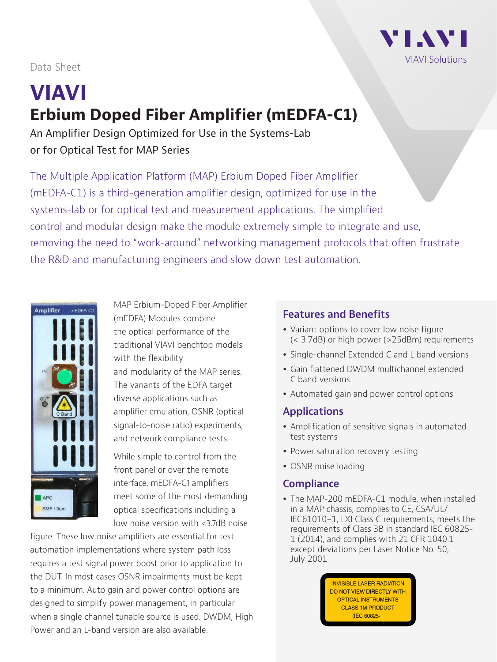

## Data Sheet

# **VIAVI Erbium Doped Fiber Amplifier (mEDFA-C1)**

An Amplifier Design Optimized for Use in the Systems-Lab or for Optical Test for MAP Series

The Multiple Application Platform (MAP) Erbium Doped Fiber Amplifier (mEDFA-C1) is a third-generation amplifier design, optimized for use in the systems-lab or for optical test and measurement applications. The simplified control and modular design make the module extremely simple to integrate and use, removing the need to "work-around" networking management protocols that often frustrate the R&D and manufacturing engineers and slow down test automation.



MAP Erbium-Doped Fiber Amplifier (mEDFA) Modules combine the optical performance of the traditional VIAVI benchtop models with the flexibility and modularity of the MAP series. The variants of the EDFA target diverse applications such as amplifier emulation, OSNR (optical signal-to-noise ratio) experiments, and network compliance tests.

While simple to control from the front panel or over the remote interface, mEDFA-C1 amplifiers meet some of the most demanding optical specifications including a low noise version with <3.7dB noise

figure. These low noise amplifiers are essential for test automation implementations where system path loss requires a test signal power boost prior to application to the DUT. In most cases OSNR impairments must be kept to a minimum. Auto gain and power control options are designed to simplify power management, in particular when a single channel tunable source is used. DWDM, High Power and an L-band version are also available.

## **Features and Benefits**

- Variant options to cover low noise figure (< 3.7dB) or high power (>25dBm) requirements
- Single-channel Extended C and L band versions
- Gain flattened DWDM multichannel extended C band versions
- Automated gain and power control options

## **Applications**

- Amplification of sensitive signals in automated test systems
- Power saturation recovery testing
- OSNR noise loading

## **Compliance**

• The MAP-200 mEDFA-C1 module, when installed in a MAP chassis, complies to CE, CSA/UL/ IEC61010-1, LXI Class C requirements, meets the requirements of Class 3B in standard IEC 60825- 1 (2014), and complies with 21 CFR 1040.1 except deviations per Laser Notice No. 50, July 2001

> **INVISIBLE LASER RADIATION** DO NOT VIEW DIRECTLY WITH **OPTICAL INSTRUMENTS CLASS 1M PRODUCT** (IEC 60825-1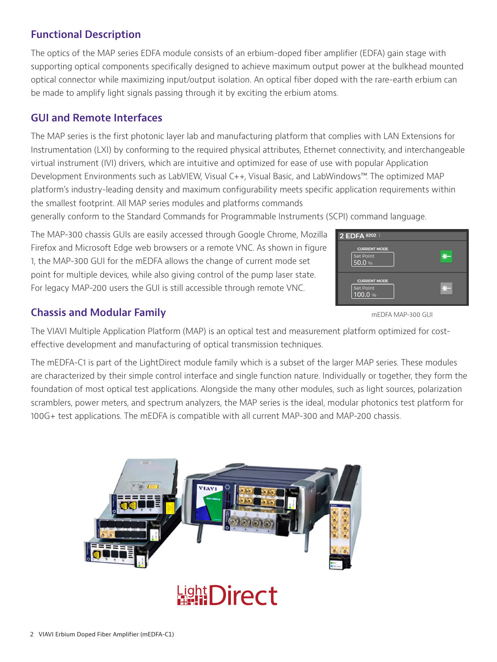## **Functional Description**

The optics of the MAP series EDFA module consists of an erbium-doped fiber amplifier (EDFA) gain stage with supporting optical components specifically designed to achieve maximum output power at the bulkhead mounted optical connector while maximizing input/output isolation. An optical fiber doped with the rare-earth erbium can be made to amplify light signals passing through it by exciting the erbium atoms.

## **GUI and Remote Interfaces**

The MAP series is the first photonic layer lab and manufacturing platform that complies with LAN Extensions for Instrumentation (LXI) by conforming to the required physical attributes, Ethernet connectivity, and interchangeable virtual instrument (IVI) drivers, which are intuitive and optimized for ease of use with popular Application Development Environments such as LabVIEW, Visual C++, Visual Basic, and LabWindows™. The optimized MAP platform's industry-leading density and maximum configurability meets specific application requirements within the smallest footprint. All MAP series modules and platforms commands

generally conform to the Standard Commands for Programmable Instruments (SCPI) command language.

The MAP-300 chassis GUIs are easily accessed through Google Chrome, Mozilla Firefox and Microsoft Edge web browsers or a remote VNC. As shown in figure 1, the MAP-300 GUI for the mEDFA allows the change of current mode set point for multiple devices, while also giving control of the pump laser state. For legacy MAP-200 users the GUI is still accessible through remote VNC.



#### **Chassis and Modular Family**

The VIAVI Multiple Application Platform (MAP) is an optical test and measurement platform optimized for costeffective development and manufacturing of optical transmission techniques.

The mEDFA-C1 is part of the LightDirect module family which is a subset of the larger MAP series. These modules are characterized by their simple control interface and single function nature. Individually or together, they form the foundation of most optical test applications. Alongside the many other modules, such as light sources, polarization scramblers, power meters, and spectrum analyzers, the MAP series is the ideal, modular photonics test platform for 100G+ test applications. The mEDFA is compatible with all current MAP-300 and MAP-200 chassis.



mEDFA MAP-300 GUI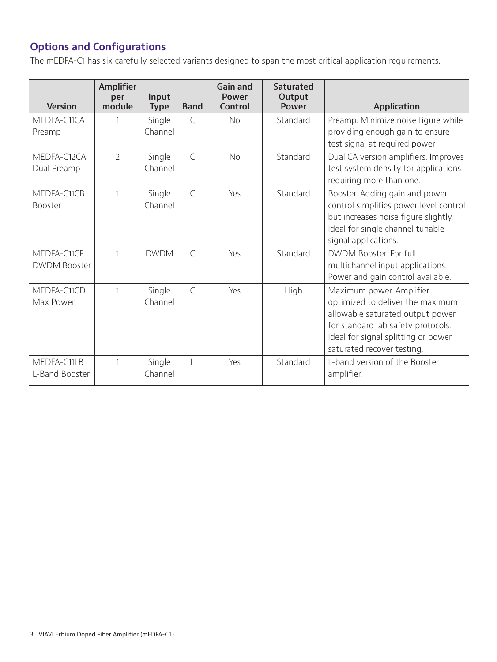# **Options and Configurations**

The mEDFA-C1 has six carefully selected variants designed to span the most critical application requirements.

| <b>Version</b>                | <b>Amplifier</b><br>per<br>module | Input<br><b>Type</b> | <b>Band</b>   | <b>Gain and</b><br><b>Power</b><br>Control | <b>Saturated</b><br>Output<br><b>Power</b> | Application                                                                                                                                                                                                 |
|-------------------------------|-----------------------------------|----------------------|---------------|--------------------------------------------|--------------------------------------------|-------------------------------------------------------------------------------------------------------------------------------------------------------------------------------------------------------------|
| MEDFA-C11CA<br>Preamp         |                                   | Single<br>Channel    | $\mathsf{C}$  | No.                                        | Standard                                   | Preamp. Minimize noise figure while<br>providing enough gain to ensure                                                                                                                                      |
|                               |                                   |                      |               |                                            |                                            | test signal at required power                                                                                                                                                                               |
| MEDFA-C12CA<br>Dual Preamp    | $\overline{2}$                    | Single<br>Channel    | $\mathsf{C}$  | <b>No</b>                                  | Standard                                   | Dual CA version amplifiers. Improves<br>test system density for applications                                                                                                                                |
|                               |                                   |                      |               |                                            |                                            | requiring more than one.                                                                                                                                                                                    |
| MEDFA-C11CB<br><b>Booster</b> | $\mathbf{1}$                      | Single<br>Channel    | $\mathsf{C}$  | Yes                                        | Standard                                   | Booster. Adding gain and power<br>control simplifies power level control<br>but increases noise figure slightly.<br>Ideal for single channel tunable<br>signal applications.                                |
| MEDFA-C11CF                   | $\mathbf{1}$                      | <b>DWDM</b>          | $\mathcal{C}$ | Yes                                        | Standard                                   | DWDM Booster, For full                                                                                                                                                                                      |
| <b>DWDM Booster</b>           |                                   |                      |               |                                            |                                            | multichannel input applications.<br>Power and gain control available.                                                                                                                                       |
| MEDFA-C11CD<br>Max Power      | 1                                 | Single<br>Channel    | $\mathcal{C}$ | Yes                                        | High                                       | Maximum power. Amplifier<br>optimized to deliver the maximum<br>allowable saturated output power<br>for standard lab safety protocols.<br>Ideal for signal splitting or power<br>saturated recover testing. |
| MEDFA-C11LB<br>L-Band Booster | 1                                 | Single<br>Channel    | $\mathsf{L}$  | Yes                                        | Standard                                   | L-band version of the Booster<br>amplifier.                                                                                                                                                                 |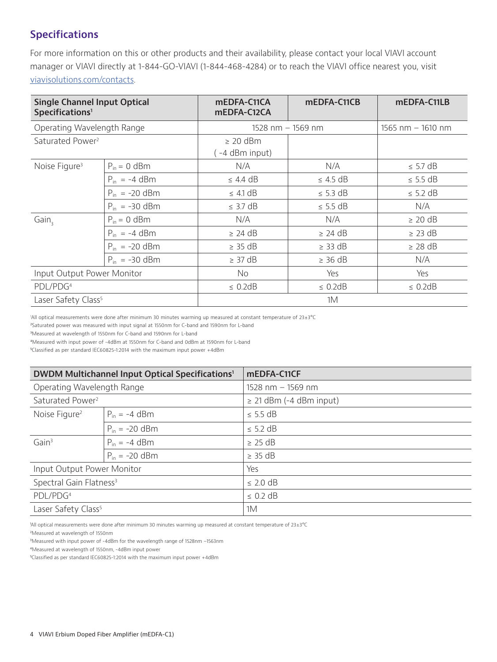## **Specifications**

For more information on this or other products and their availability, please contact your local VIAVI account manager or VIAVI directly at 1-844-GO-VIAVI (1-844-468-4284) or to reach the VIAVI office nearest you, visit viavisolutions.com/contacts.

| <b>Single Channel Input Optical</b><br>Specifications <sup>1</sup> |                    | mEDFA-C11CA<br>mEDFA-C12CA     | mEDFA-C11CB   | mEDFA-C11LB         |  |
|--------------------------------------------------------------------|--------------------|--------------------------------|---------------|---------------------|--|
| Operating Wavelength Range                                         |                    | $1528$ nm $-$ 1569 nm          |               | 1565 nm $-$ 1610 nm |  |
| Saturated Power <sup>2</sup>                                       |                    | $\geq$ 20 dBm<br>-4 dBm input) |               |                     |  |
| Noise Figure <sup>3</sup>                                          | $P_{in} = 0$ dBm   | N/A                            | N/A           | $\leq$ 5.7 dB       |  |
|                                                                    | $P_{in} = -4$ dBm  | $\leq$ 4.4 dB                  |               | $\leq$ 5.5 dB       |  |
|                                                                    | $P_{in} = -20$ dBm | $\leq$ 4.1 dB                  | $\leq$ 5.3 dB | $\leq$ 5.2 dB       |  |
|                                                                    | $P_{in} = -30$ dBm | $\leq$ 3.7 dB                  |               | N/A                 |  |
| Gain,                                                              | $P_{in} = 0$ dBm   | N/A                            | N/A           | $\geq$ 20 dB        |  |
|                                                                    | $P_{in} = -4$ dBm  | $\geq$ 24 dB                   | $\geq$ 24 dB  | $\geq$ 23 dB        |  |
|                                                                    | $P_{in} = -20$ dBm | $\geq$ 35 dB                   | $\geq$ 33 dB  | $\geq$ 28 dB        |  |
|                                                                    | $P_{in} = -30$ dBm | $\geq$ 37 dB                   | $\geq$ 36 dB  | N/A                 |  |
| Input Output Power Monitor                                         |                    | No.                            | Yes           | Yes                 |  |
| PDL/PDG <sup>4</sup>                                               |                    | $\leq$ 0.2dB<br>$\leq$ 0.2dB   |               | $\leq$ 0.2dB        |  |
| Laser Safety Class <sup>5</sup>                                    |                    | 1M                             |               |                     |  |

1 All optical measurements were done after minimum 30 minutes warming up measured at constant temperature of 23±3°C

²Saturated power was measured with input signal at 1550nm for C-band and 1590nm for L-band

³Measured at wavelength of 1550nm for C-band and 1590nm for L-band

⁴Measured with input power of -4dBm at 1550nm for C-band and 0dBm at 1590nm for L-band

⁵Classified as per standard IEC60825-1:2014 with the maximum input power +4dBm

| DWDM Multichannel Input Optical Specifications <sup>1</sup> |                    | mEDFA-C11CF                  |  |
|-------------------------------------------------------------|--------------------|------------------------------|--|
| Operating Wavelength Range                                  |                    | 1528 nm - 1569 nm            |  |
| Saturated Power <sup>2</sup>                                |                    | $\geq$ 21 dBm (-4 dBm input) |  |
| Noise Figure <sup>2</sup>                                   | $P_{in} = -4$ dBm  | $\leq$ 5.5 dB                |  |
|                                                             | $P_{in} = -20$ dBm | $\leq$ 5.2 dB                |  |
| Gain <sup>3</sup>                                           | $P_{in} = -4$ dBm  | $\geq$ 25 dB                 |  |
|                                                             | $P_{in} = -20$ dBm | $\geq$ 35 dB                 |  |
| Input Output Power Monitor                                  |                    | Yes                          |  |
| Spectral Gain Flatness <sup>3</sup>                         |                    | $\leq$ 2.0 dB                |  |
| PDL/PDG <sup>4</sup>                                        |                    | $\leq$ 0.2 dB                |  |
| Laser Safety Class <sup>5</sup>                             |                    | 1M                           |  |

All optical measurements were done after minimum 30 minutes warming up measured at constant temperature of 23±3°C

²Measured at wavelength of 1550nm

³Measured with input power of -4dBm for the wavelength range of 1528nm –1563nm

⁴Measured at wavelength of 1550nm, -4dBm input power

⁵Classified as per standard IEC60825-1:2014 with the maximum input power +4dBm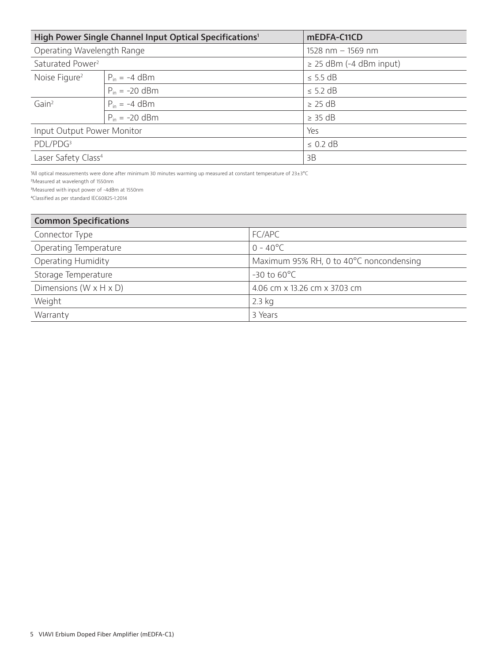|                                 | High Power Single Channel Input Optical Specifications <sup>1</sup> | mEDFA-C11CD                  |
|---------------------------------|---------------------------------------------------------------------|------------------------------|
| Operating Wavelength Range      |                                                                     | $1528$ nm $-1569$ nm         |
| Saturated Power <sup>2</sup>    |                                                                     | $\geq$ 25 dBm (-4 dBm input) |
| Noise Figure <sup>2</sup>       | $P_{in} = -4$ dBm                                                   | $\leq$ 5.5 dB                |
|                                 | $P_{in} = -20$ dBm                                                  | $\leq$ 5.2 dB                |
| Gain <sup>2</sup>               | $P_{in} = -4$ dBm                                                   | $\geq$ 25 dB                 |
|                                 | $P_{in} = -20$ dBm                                                  | $\geq$ 35 dB                 |
| Input Output Power Monitor      |                                                                     | Yes                          |
| PDL/PDG <sup>3</sup>            |                                                                     | $\leq$ 0.2 dB                |
| Laser Safety Class <sup>4</sup> |                                                                     | 3B                           |

 $2$ All optical measurements were done after minimum 30 minutes warming up measured at constant temperature of 23±3°C

²Measured at wavelength of 1550nm

³Measured with input power of -4dBm at 1550nm

⁴Classified as per standard IEC60825-1:2014

| <b>Common Specifications</b>         |                                         |
|--------------------------------------|-----------------------------------------|
| Connector Type                       | FC/APC                                  |
| Operating Temperature                | $0 - 40^{\circ}$ C                      |
| <b>Operating Humidity</b>            | Maximum 95% RH, 0 to 40°C noncondensing |
| Storage Temperature                  | $-30$ to $60^{\circ}$ C                 |
| Dimensions ( $W \times H \times D$ ) | 4.06 cm x 13.26 cm x 37.03 cm           |
| Weight                               | $2.3$ kg                                |
| Warranty                             | 3 Years                                 |
|                                      |                                         |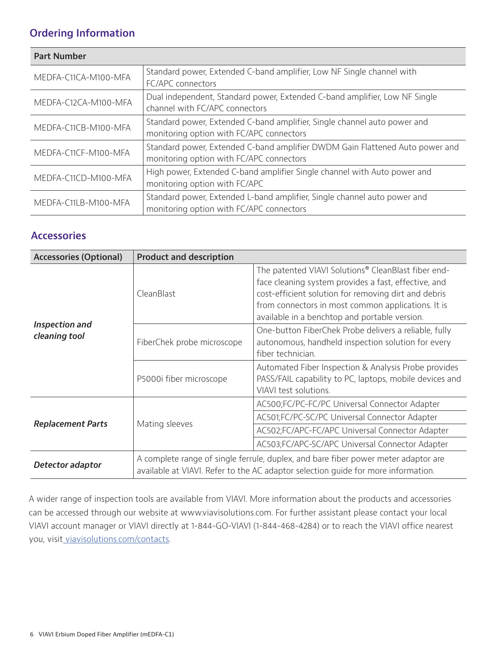## **Ordering Information**

| <b>Part Number</b>   |                                                                                                                          |
|----------------------|--------------------------------------------------------------------------------------------------------------------------|
| MEDFA-C11CA-M100-MFA | Standard power, Extended C-band amplifier, Low NF Single channel with<br>FC/APC connectors                               |
| MEDFA-C12CA-M100-MFA | Dual independent, Standard power, Extended C-band amplifier, Low NF Single<br>channel with FC/APC connectors             |
| MEDFA-C11CB-M100-MFA | Standard power, Extended C-band amplifier, Single channel auto power and<br>monitoring option with FC/APC connectors     |
| MEDFA-C11CF-M100-MFA | Standard power, Extended C-band amplifier DWDM Gain Flattened Auto power and<br>monitoring option with FC/APC connectors |
| MEDFA-C11CD-M100-MFA | High power, Extended C-band amplifier Single channel with Auto power and<br>monitoring option with FC/APC                |
| MEDFA-C11LB-M100-MFA | Standard power, Extended L-band amplifier, Single channel auto power and<br>monitoring option with FC/APC connectors     |

## **Accessories**

| <b>Accessories (Optional)</b>   | <b>Product and description</b>                                                                                                                                          |                                                                                                                                                                                                                                                                            |  |  |  |
|---------------------------------|-------------------------------------------------------------------------------------------------------------------------------------------------------------------------|----------------------------------------------------------------------------------------------------------------------------------------------------------------------------------------------------------------------------------------------------------------------------|--|--|--|
|                                 | CleanBlast                                                                                                                                                              | The patented VIAVI Solutions® CleanBlast fiber end-<br>face cleaning system provides a fast, effective, and<br>cost-efficient solution for removing dirt and debris<br>from connectors in most common applications. It is<br>available in a benchtop and portable version. |  |  |  |
| Inspection and<br>cleaning tool | FiberChek probe microscope                                                                                                                                              | One-button FiberChek Probe delivers a reliable, fully<br>autonomous, handheld inspection solution for every<br>fiber technician.                                                                                                                                           |  |  |  |
|                                 | P5000i fiber microscope                                                                                                                                                 | Automated Fiber Inspection & Analysis Probe provides<br>PASS/FAIL capability to PC, laptops, mobile devices and<br>VIAVI test solutions.                                                                                                                                   |  |  |  |
|                                 |                                                                                                                                                                         | AC500;FC/PC-FC/PC Universal Connector Adapter                                                                                                                                                                                                                              |  |  |  |
|                                 | Mating sleeves                                                                                                                                                          | AC501;FC/PC-SC/PC Universal Connector Adapter                                                                                                                                                                                                                              |  |  |  |
| <b>Replacement Parts</b>        |                                                                                                                                                                         | AC502;FC/APC-FC/APC Universal Connector Adapter                                                                                                                                                                                                                            |  |  |  |
|                                 |                                                                                                                                                                         | AC503;FC/APC-SC/APC Universal Connector Adapter                                                                                                                                                                                                                            |  |  |  |
| Detector adaptor                | A complete range of single ferrule, duplex, and bare fiber power meter adaptor are<br>available at VIAVI. Refer to the AC adaptor selection quide for more information. |                                                                                                                                                                                                                                                                            |  |  |  |

A wider range of inspection tools are available from VIAVI. More information about the products and accessories can be accessed through our website at www.viavisolutions.com. For further assistant please contact your local VIAVI account manager or VIAVI directly at 1-844-GO-VIAVI (1-844-468-4284) or to reach the VIAVI office nearest you, visi[t viavisolutions.com/contacts.](viavisolutions.com/contacts)